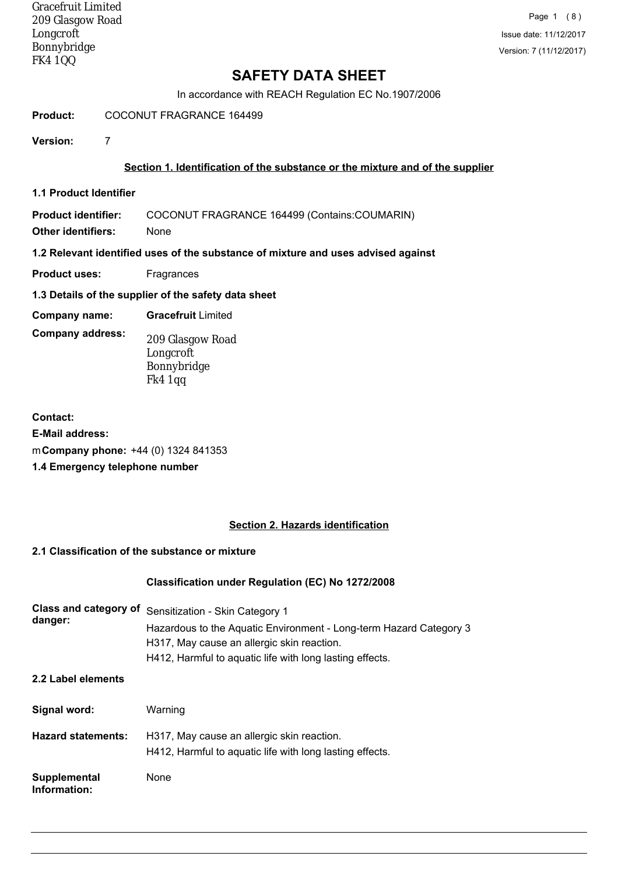Gracefruit Limited 209 Glasgow Road Longcroft Bonnybridge FK4 1QQ

# **SAFETY DATA SHEET**

In accordance with REACH Regulation EC No.1907/2006

#### **Product:** COCONUT FRAGRANCE 164499

**Version:** 7

#### **Section 1. Identification of the substance or the mixture and of the supplier**

**1.1 Product Identifier**

**Product identifier:** COCONUT FRAGRANCE 164499 (Contains:COUMARIN)

**Other identifiers:** None

#### **1.2 Relevant identified uses of the substance of mixture and uses advised against**

- **Product uses:** Fragrances
- **1.3 Details of the supplier of the safety data sheet**
- **Company name: Gracefruit** Limited
- **Company address:**
- 209 Glasgow Road Longcroft Bonnybridge Fk4 1qq
- **Contact: E-Mail address:** m**Company phone:** +44 (0) 1324 841353 **1.4 Emergency telephone number**

# **Section 2. Hazards identification**

#### **2.1 Classification of the substance or mixture**

#### **Classification under Regulation (EC) No 1272/2008**

| Class and category of<br>danger: | Sensitization - Skin Category 1<br>Hazardous to the Aquatic Environment - Long-term Hazard Category 3<br>H317, May cause an allergic skin reaction.<br>H412, Harmful to aquatic life with long lasting effects. |
|----------------------------------|-----------------------------------------------------------------------------------------------------------------------------------------------------------------------------------------------------------------|
| 2.2 Label elements               |                                                                                                                                                                                                                 |
| Signal word:                     | Warning                                                                                                                                                                                                         |
| <b>Hazard statements:</b>        | H317, May cause an allergic skin reaction.<br>H412, Harmful to aquatic life with long lasting effects.                                                                                                          |
| Supplemental<br>Information:     | None                                                                                                                                                                                                            |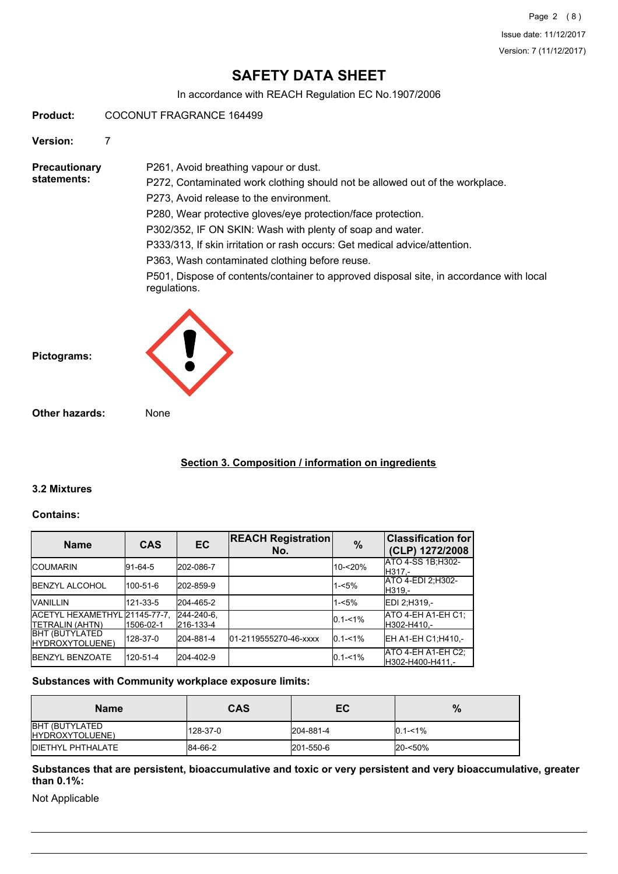# **SAFETY DATA SHEET**

In accordance with REACH Regulation EC No.1907/2006

**Product:** COCONUT FRAGRANCE 164499

**Version:** 7

**Precautionary statements:**

P261, Avoid breathing vapour or dust. P272, Contaminated work clothing should not be allowed out of the workplace. P273, Avoid release to the environment. P280, Wear protective gloves/eye protection/face protection. P302/352, IF ON SKIN: Wash with plenty of soap and water. P333/313, If skin irritation or rash occurs: Get medical advice/attention. P363, Wash contaminated clothing before reuse. P501, Dispose of contents/container to approved disposal site, in accordance with local regulations.

**Pictograms:**



**Other hazards:** None

# **Section 3. Composition / information on ingredients**

#### **3.2 Mixtures**

#### **Contains:**

| <b>Name</b>                                              | <b>CAS</b>  | <b>EC</b>               | <b>REACH Registration</b><br>No. | $\frac{9}{6}$ | <b>Classification for</b><br>(CLP) 1272/2008 |
|----------------------------------------------------------|-------------|-------------------------|----------------------------------|---------------|----------------------------------------------|
| <b>ICOUMARIN</b>                                         | $ 91-64-5 $ | 202-086-7               |                                  | $10 - 20%$    | ATO 4-SS 1B; H302-<br>H317.-                 |
| <b>IBENZYL ALCOHOL</b>                                   | 100-51-6    | 202-859-9               |                                  | $1 - 5%$      | ATO 4-EDI 2:H302-<br>H319.-                  |
| <b>VANILLIN</b>                                          | 121-33-5    | 204-465-2               |                                  | $1 - 5%$      | EDI 2:H319 .-                                |
| ACETYL HEXAMETHYL 21145-77-7.<br><b>ITETRALIN (AHTN)</b> | 1506-02-1   | 244-240-6,<br>216-133-4 |                                  | $0.1 - 1\%$   | ATO 4-EH A1-EH C1;<br>H302-H410.-            |
| <b>BHT (BUTYLATED</b><br>HYDROXYTOLUENE)                 | 128-37-0    | 204-881-4               | 01-2119555270-46-xxxx            | $0.1 - 1\%$   | EH A1-EH C1; H410,-                          |
| <b>IBENZYL BENZOATE</b>                                  | 120-51-4    | 204-402-9               |                                  | $0.1 - 1\%$   | ATO 4-EH A1-EH C2:<br>H302-H400-H411.-       |

#### **Substances with Community workplace exposure limits:**

| <b>Name</b>                              | <b>CAS</b> | EC        | %           |
|------------------------------------------|------------|-----------|-------------|
| <b>BHT (BUTYLATED</b><br>HYDROXYTOLUENE) | 128-37-0   | 204-881-4 | $0.1 - 1\%$ |
| <b>IDIETHYL PHTHALATE</b>                | 84-66-2    | 201-550-6 | 20-<50%     |

**Substances that are persistent, bioaccumulative and toxic or very persistent and very bioaccumulative, greater than 0.1%:**

Not Applicable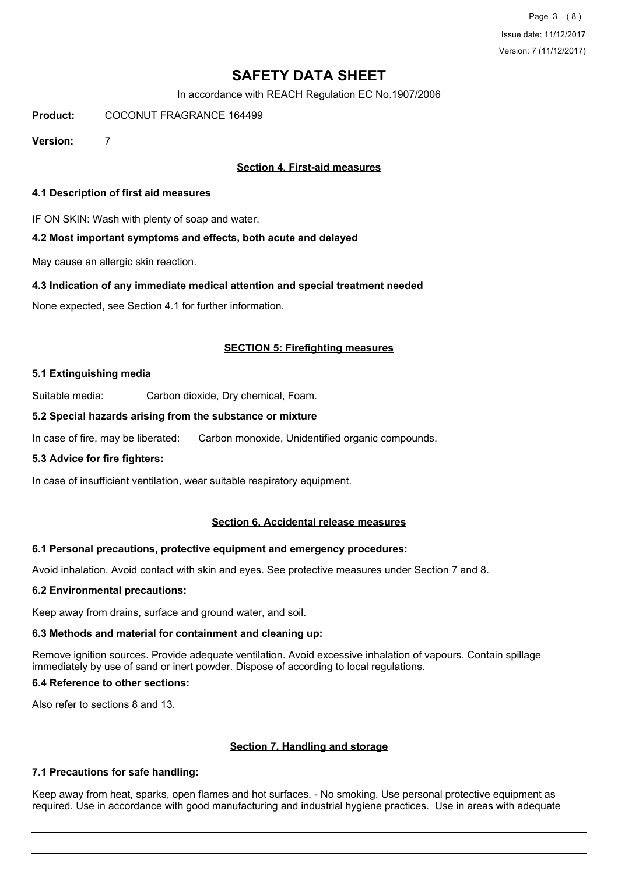Page 3 (8) Issue date: 11/12/2017 Version: 7 (11/12/2017)

# **SAFETY DATA SHEET**

In accordance with REACH Regulation EC No.1907/2006

**Product:** COCONUT FRAGRANCE 164499

**Version:** 7

#### **Section 4. First-aid measures**

#### **4.1 Description of first aid measures**

IF ON SKIN: Wash with plenty of soap and water.

#### **4.2 Most important symptoms and effects, both acute and delayed**

May cause an allergic skin reaction.

#### **4.3 Indication of any immediate medical attention and special treatment needed**

None expected, see Section 4.1 for further information.

#### **SECTION 5: Firefighting measures**

#### **5.1 Extinguishing media**

Suitable media: Carbon dioxide, Dry chemical, Foam.

#### **5.2 Special hazards arising from the substance or mixture**

In case of fire, may be liberated: Carbon monoxide, Unidentified organic compounds.

#### **5.3 Advice for fire fighters:**

In case of insufficient ventilation, wear suitable respiratory equipment.

#### **Section 6. Accidental release measures**

#### **6.1 Personal precautions, protective equipment and emergency procedures:**

Avoid inhalation. Avoid contact with skin and eyes. See protective measures under Section 7 and 8.

#### **6.2 Environmental precautions:**

Keep away from drains, surface and ground water, and soil.

#### **6.3 Methods and material for containment and cleaning up:**

Remove ignition sources. Provide adequate ventilation. Avoid excessive inhalation of vapours. Contain spillage immediately by use of sand or inert powder. Dispose of according to local regulations.

#### **6.4 Reference to other sections:**

Also refer to sections 8 and 13.

#### **Section 7. Handling and storage**

#### **7.1 Precautions for safe handling:**

Keep away from heat, sparks, open flames and hot surfaces. - No smoking. Use personal protective equipment as required. Use in accordance with good manufacturing and industrial hygiene practices. Use in areas with adequate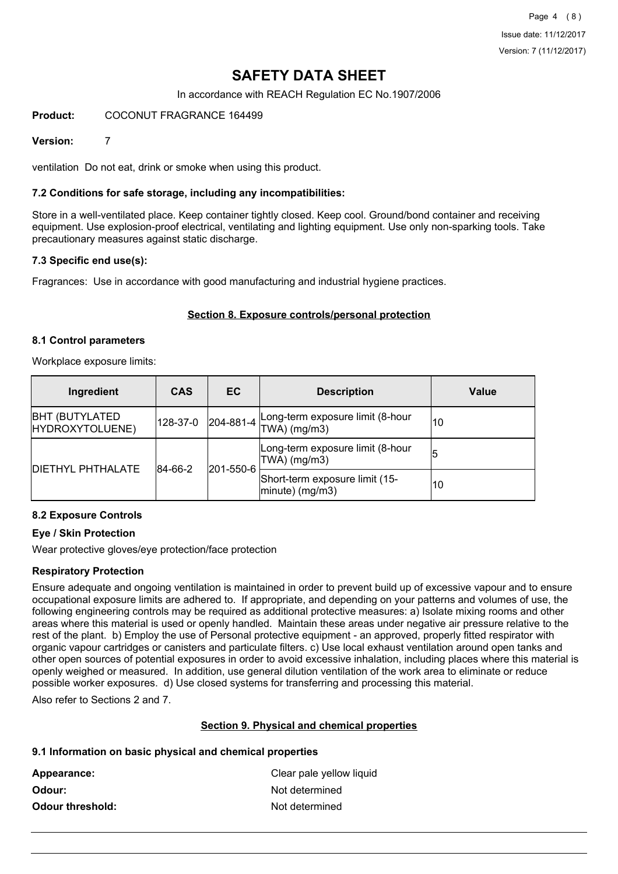# **SAFETY DATA SHEET**

In accordance with REACH Regulation EC No.1907/2006

#### **Product:** COCONUT FRAGRANCE 164499

#### **Version:** 7

ventilation Do not eat, drink or smoke when using this product.

#### **7.2 Conditions for safe storage, including any incompatibilities:**

Store in a well-ventilated place. Keep container tightly closed. Keep cool. Ground/bond container and receiving equipment. Use explosion-proof electrical, ventilating and lighting equipment. Use only non-sparking tools. Take precautionary measures against static discharge.

#### **7.3 Specific end use(s):**

Fragrances: Use in accordance with good manufacturing and industrial hygiene practices.

#### **Section 8. Exposure controls/personal protection**

#### **8.1 Control parameters**

Workplace exposure limits:

| Ingredient                                | <b>CAS</b>  | EC.       | <b>Description</b>                                           | Value |
|-------------------------------------------|-------------|-----------|--------------------------------------------------------------|-------|
| <b>BHT (BUTYLATED)</b><br>HYDROXYTOLUENE) | 128-37-0    |           | $204-881-4$ Long-term exposure limit (8-hour<br>TWA) (mg/m3) | 10    |
| <b>DIETHYL PHTHALATE</b>                  | $ 84-66-2 $ |           | Long-term exposure limit (8-hour<br>$ TWA $ (mg/m3)          | 15    |
|                                           |             | 201-550-6 | Short-term exposure limit (15-<br>$ minute)$ (mg/m3)         | 10    |

#### **8.2 Exposure Controls**

#### **Eye / Skin Protection**

Wear protective gloves/eye protection/face protection

#### **Respiratory Protection**

Ensure adequate and ongoing ventilation is maintained in order to prevent build up of excessive vapour and to ensure occupational exposure limits are adhered to. If appropriate, and depending on your patterns and volumes of use, the following engineering controls may be required as additional protective measures: a) Isolate mixing rooms and other areas where this material is used or openly handled. Maintain these areas under negative air pressure relative to the rest of the plant. b) Employ the use of Personal protective equipment - an approved, properly fitted respirator with organic vapour cartridges or canisters and particulate filters. c) Use local exhaust ventilation around open tanks and other open sources of potential exposures in order to avoid excessive inhalation, including places where this material is openly weighed or measured. In addition, use general dilution ventilation of the work area to eliminate or reduce possible worker exposures. d) Use closed systems for transferring and processing this material.

Also refer to Sections 2 and 7.

#### **Section 9. Physical and chemical properties**

#### **9.1 Information on basic physical and chemical properties**

| Appearance:             | Clear pale yellow liquid |
|-------------------------|--------------------------|
| Odour:                  | Not determined           |
| <b>Odour threshold:</b> | Not determined           |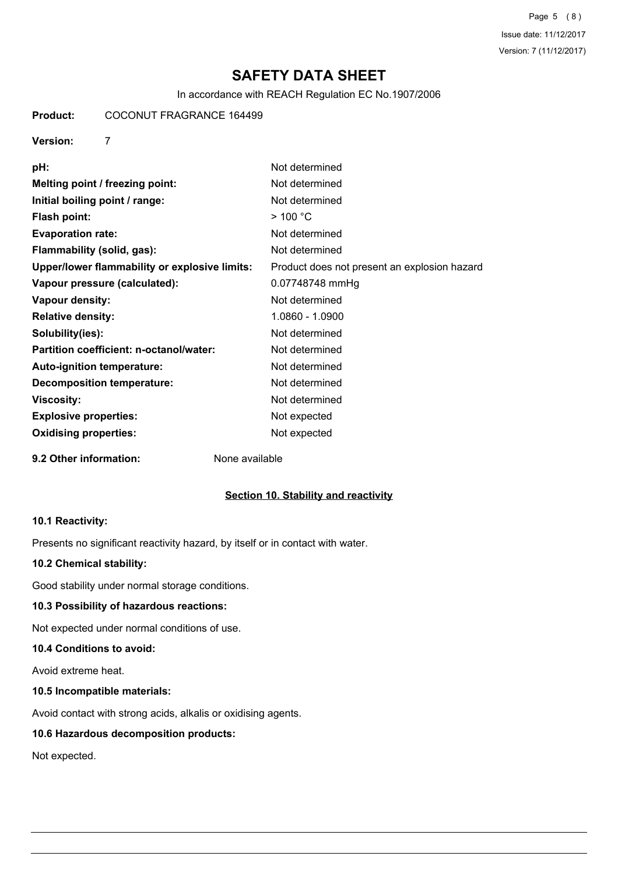Page 5 (8) Issue date: 11/12/2017 Version: 7 (11/12/2017)

# **SAFETY DATA SHEET**

In accordance with REACH Regulation EC No.1907/2006

# **Product:** COCONUT FRAGRANCE 164499

#### **Version:** 7

| pH:                                           | Not determined                               |
|-----------------------------------------------|----------------------------------------------|
| Melting point / freezing point:               | Not determined                               |
| Initial boiling point / range:                | Not determined                               |
| <b>Flash point:</b>                           | >100 °C                                      |
| <b>Evaporation rate:</b>                      | Not determined                               |
| Flammability (solid, gas):                    | Not determined                               |
| Upper/lower flammability or explosive limits: | Product does not present an explosion hazard |
| Vapour pressure (calculated):                 | 0.07748748 mmHg                              |
| Vapour density:                               | Not determined                               |
| <b>Relative density:</b>                      | 1.0860 - 1.0900                              |
| Solubility(ies):                              | Not determined                               |
| Partition coefficient: n-octanol/water:       | Not determined                               |
| Auto-ignition temperature:                    | Not determined                               |
| <b>Decomposition temperature:</b>             | Not determined                               |
| <b>Viscosity:</b>                             | Not determined                               |
| <b>Explosive properties:</b>                  | Not expected                                 |
| <b>Oxidising properties:</b>                  | Not expected                                 |
| 9.2 Other information:                        | None available                               |

# **Section 10. Stability and reactivity**

#### **10.1 Reactivity:**

Presents no significant reactivity hazard, by itself or in contact with water.

### **10.2 Chemical stability:**

Good stability under normal storage conditions.

#### **10.3 Possibility of hazardous reactions:**

Not expected under normal conditions of use.

# **10.4 Conditions to avoid:**

Avoid extreme heat.

#### **10.5 Incompatible materials:**

Avoid contact with strong acids, alkalis or oxidising agents.

### **10.6 Hazardous decomposition products:**

Not expected.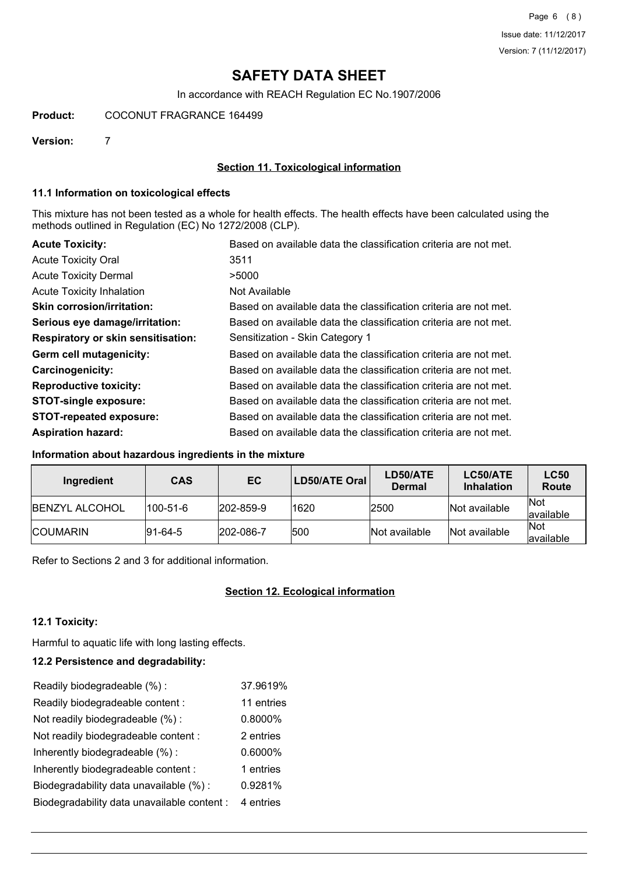# **SAFETY DATA SHEET**

In accordance with REACH Regulation EC No.1907/2006

### **Product:** COCONUT FRAGRANCE 164499

**Version:** 7

### **Section 11. Toxicological information**

#### **11.1 Information on toxicological effects**

This mixture has not been tested as a whole for health effects. The health effects have been calculated using the methods outlined in Regulation (EC) No 1272/2008 (CLP).

| <b>Acute Toxicity:</b>                    | Based on available data the classification criteria are not met. |
|-------------------------------------------|------------------------------------------------------------------|
| <b>Acute Toxicity Oral</b>                | 3511                                                             |
| <b>Acute Toxicity Dermal</b>              | >5000                                                            |
| Acute Toxicity Inhalation                 | Not Available                                                    |
| <b>Skin corrosion/irritation:</b>         | Based on available data the classification criteria are not met. |
| Serious eye damage/irritation:            | Based on available data the classification criteria are not met. |
| <b>Respiratory or skin sensitisation:</b> | Sensitization - Skin Category 1                                  |
| Germ cell mutagenicity:                   | Based on available data the classification criteria are not met. |
| Carcinogenicity:                          | Based on available data the classification criteria are not met. |
| <b>Reproductive toxicity:</b>             | Based on available data the classification criteria are not met. |
| <b>STOT-single exposure:</b>              | Based on available data the classification criteria are not met. |
| <b>STOT-repeated exposure:</b>            | Based on available data the classification criteria are not met. |
| <b>Aspiration hazard:</b>                 | Based on available data the classification criteria are not met. |

# **Information about hazardous ingredients in the mixture**

| Ingredient             | <b>CAS</b>      | EC               | LD50/ATE Oral | LD50/ATE<br><b>Dermal</b> | LC50/ATE<br><b>Inhalation</b> | <b>LC50</b><br>Route     |
|------------------------|-----------------|------------------|---------------|---------------------------|-------------------------------|--------------------------|
| <b>IBENZYL ALCOHOL</b> | 100-51-6        | $ 202 - 859 - 9$ | 1620          | 2500                      | Not available                 | <b>Not</b><br>lavailable |
| <b>ICOUMARIN</b>       | $ 91 - 64 - 5 $ | 202-086-7        | 1500          | Not available             | Not available                 | <b>Not</b><br>lavailable |

Refer to Sections 2 and 3 for additional information.

# **Section 12. Ecological information**

#### **12.1 Toxicity:**

Harmful to aquatic life with long lasting effects.

### **12.2 Persistence and degradability:**

| Readily biodegradeable (%):                 | 37.9619%   |
|---------------------------------------------|------------|
| Readily biodegradeable content :            | 11 entries |
| Not readily biodegradeable (%):             | 0.8000%    |
| Not readily biodegradeable content:         | 2 entries  |
| Inherently biodegradeable (%):              | 0.6000%    |
| Inherently biodegradeable content:          | 1 entries  |
| Biodegradability data unavailable (%):      | 0.9281%    |
| Biodegradability data unavailable content : | 4 entries  |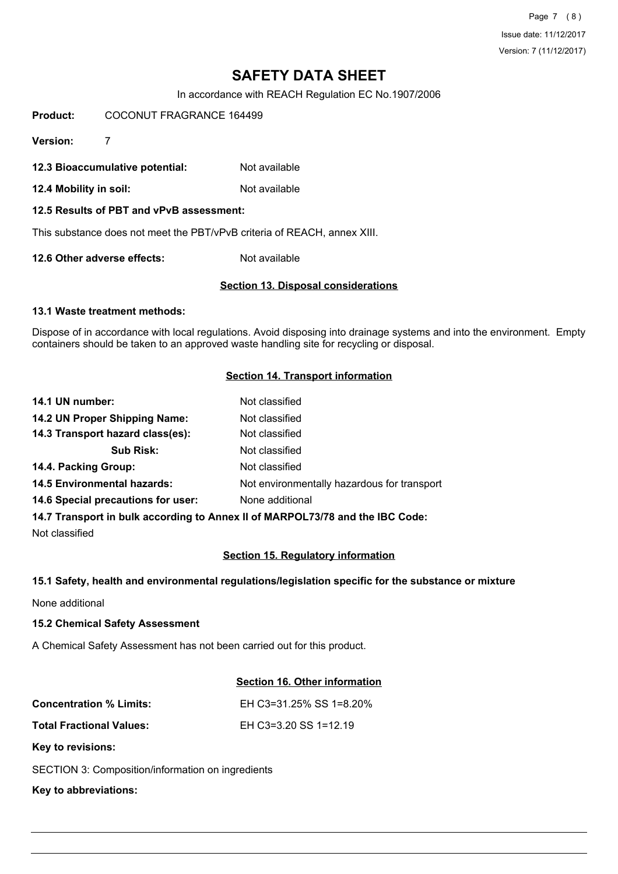Page 7 (8) Issue date: 11/12/2017 Version: 7 (11/12/2017)

# **SAFETY DATA SHEET**

In accordance with REACH Regulation EC No.1907/2006

**Product:** COCONUT FRAGRANCE 164499

**Version:** 7

**12.3 Bioaccumulative potential:** Not available

**12.4 Mobility in soil:** Not available

**12.5 Results of PBT and vPvB assessment:**

This substance does not meet the PBT/vPvB criteria of REACH, annex XIII.

**12.6 Other adverse effects:** Not available

#### **Section 13. Disposal considerations**

#### **13.1 Waste treatment methods:**

Dispose of in accordance with local regulations. Avoid disposing into drainage systems and into the environment. Empty containers should be taken to an approved waste handling site for recycling or disposal.

#### **Section 14. Transport information**

| 14.1 UN number:                    | Not classified                              |
|------------------------------------|---------------------------------------------|
| 14.2 UN Proper Shipping Name:      | Not classified                              |
| 14.3 Transport hazard class(es):   | Not classified                              |
| <b>Sub Risk:</b>                   | Not classified                              |
| 14.4. Packing Group:               | Not classified                              |
| <b>14.5 Environmental hazards:</b> | Not environmentally hazardous for transport |
| 14.6 Special precautions for user: | None additional                             |
|                                    |                                             |

**14.7 Transport in bulk according to Annex II of MARPOL73/78 and the IBC Code:**

Not classified

#### **Section 15. Regulatory information**

#### **15.1 Safety, health and environmental regulations/legislation specific for the substance or mixture**

None additional

#### **15.2 Chemical Safety Assessment**

A Chemical Safety Assessment has not been carried out for this product.

# **Section 16. Other information**

| <b>Concentration % Limits:</b>  | EH C3=31.25% SS 1=8.20% |
|---------------------------------|-------------------------|
| <b>Total Fractional Values:</b> | EH C3=3.20 SS 1=12.19   |
| Key to revisions:               |                         |

SECTION 3: Composition/information on ingredients

**Key to abbreviations:**